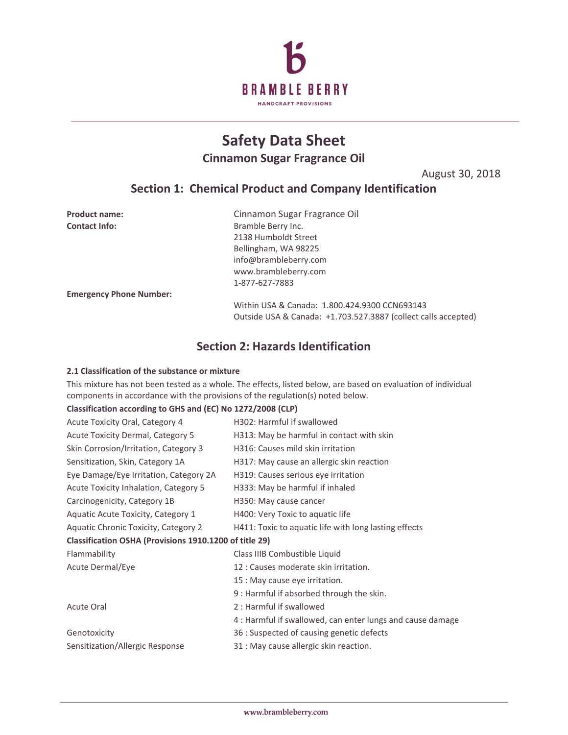

# **Safety Data Sheet Cinnamon Sugar Fragrance Oil**

August 30, 2018

# **Section 1: Chemical Product and Company Identification**

| <b>Product name:</b>           | Cinnamon Sugar Fragrance Oil                                   |
|--------------------------------|----------------------------------------------------------------|
| <b>Contact Info:</b>           | Bramble Berry Inc.                                             |
|                                | 2138 Humboldt Street                                           |
|                                | Bellingham, WA 98225                                           |
|                                | info@brambleberry.com                                          |
|                                | www.brambleberry.com                                           |
|                                | 1-877-627-7883                                                 |
| <b>Emergency Phone Number:</b> |                                                                |
|                                | Within USA & Canada: 1.800.424.9300 CCN693143                  |
|                                | Outside USA & Canada: +1.703.527.3887 (collect calls accepted) |

# **Section 2: Hazards Identification**

### **2.1 Classification of the substance or mixture**

This mixture has not been tested as a whole. The effects, listed below, are based on evaluation of individual components in accordance with the provisions of the regulation(s) noted below.

### **Classification according to GHS and (EC) No 1272/2008 (CLP)**

| Acute Toxicity Oral, Category 4                        | H302: Harmful if swallowed                                 |
|--------------------------------------------------------|------------------------------------------------------------|
| Acute Toxicity Dermal, Category 5                      | H313: May be harmful in contact with skin                  |
| Skin Corrosion/Irritation, Category 3                  | H316: Causes mild skin irritation                          |
| Sensitization, Skin, Category 1A                       | H317: May cause an allergic skin reaction                  |
| Eye Damage/Eye Irritation, Category 2A                 | H319: Causes serious eye irritation                        |
| Acute Toxicity Inhalation, Category 5                  | H333: May be harmful if inhaled                            |
| Carcinogenicity, Category 1B                           | H350: May cause cancer                                     |
| Aquatic Acute Toxicity, Category 1                     | H400: Very Toxic to aquatic life                           |
| Aquatic Chronic Toxicity, Category 2                   | H411: Toxic to aquatic life with long lasting effects      |
| Classification OSHA (Provisions 1910.1200 of title 29) |                                                            |
| Flammability                                           | Class IIIB Combustible Liquid                              |
| Acute Dermal/Eye                                       | 12 : Causes moderate skin irritation.                      |
|                                                        | 15 : May cause eye irritation.                             |
|                                                        | 9 : Harmful if absorbed through the skin.                  |
| <b>Acute Oral</b>                                      | 2 : Harmful if swallowed                                   |
|                                                        | 4 : Harmful if swallowed, can enter lungs and cause damage |
| Genotoxicity                                           | 36 : Suspected of causing genetic defects                  |
| Sensitization/Allergic Response                        | 31 : May cause allergic skin reaction.                     |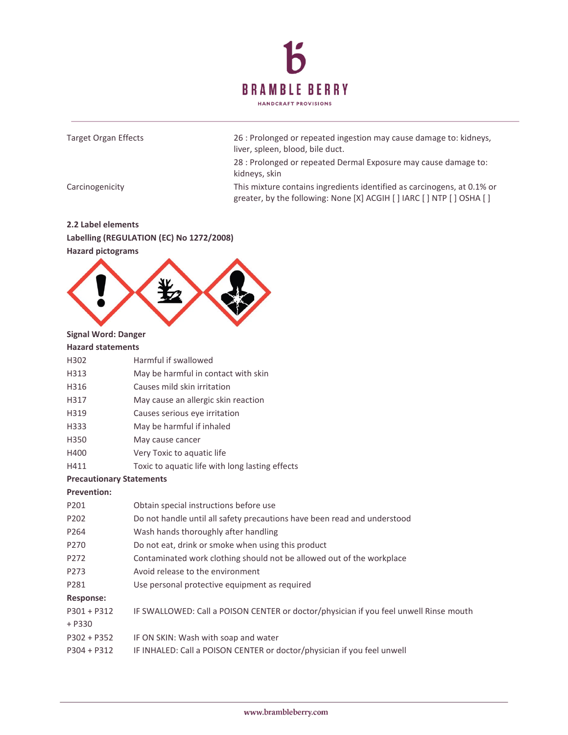



### **Hazard pictograms**



### **Signal Word: Danger**

|      | <b>Hazard statements</b> |                                                 |
|------|--------------------------|-------------------------------------------------|
| H302 |                          | Harmful if swallowed                            |
| H313 |                          | May be harmful in contact with skin             |
| H316 |                          | Causes mild skin irritation                     |
| H317 |                          | May cause an allergic skin reaction             |
| H319 |                          | Causes serious eye irritation                   |
| H333 |                          | May be harmful if inhaled                       |
| H350 |                          | May cause cancer                                |
| H400 |                          | Very Toxic to aquatic life                      |
| H411 |                          | Toxic to aquatic life with long lasting effects |
|      |                          |                                                 |

### **Precautionary Statements**

### **Prevention:**

| P201             | Obtain special instructions before use                                                |
|------------------|---------------------------------------------------------------------------------------|
| P202             | Do not handle until all safety precautions have been read and understood              |
| P264             | Wash hands thoroughly after handling                                                  |
| P270             | Do not eat, drink or smoke when using this product                                    |
| P272             | Contaminated work clothing should not be allowed out of the workplace                 |
| P <sub>273</sub> | Avoid release to the environment                                                      |
| P281             | Use personal protective equipment as required                                         |
| <b>Response:</b> |                                                                                       |
| $P301 + P312$    | IF SWALLOWED: Call a POISON CENTER or doctor/physician if you feel unwell Rinse mouth |
| $+ P330$         |                                                                                       |
| $P302 + P352$    | IF ON SKIN: Wash with soap and water                                                  |
| $P304 + P312$    | IF INHALED: Call a POISON CENTER or doctor/physician if you feel unwell               |
|                  |                                                                                       |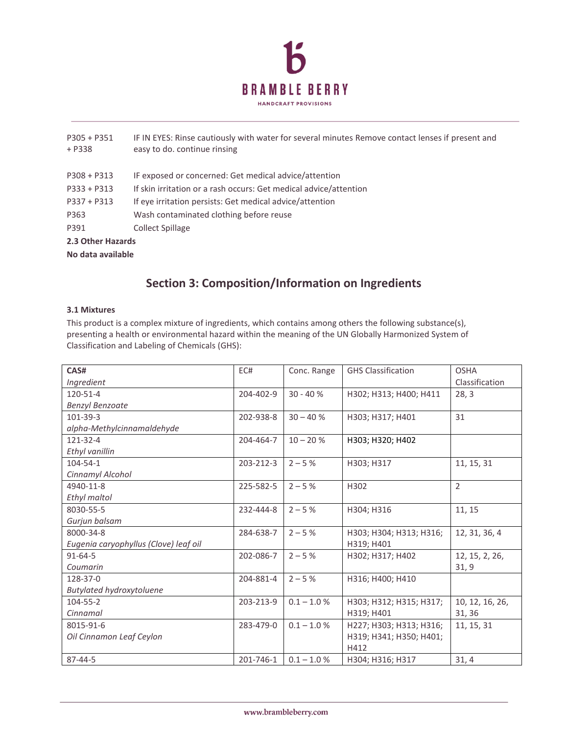

| $P305 + P351$<br>$+ P338$ | IF IN EYES: Rinse cautiously with water for several minutes Remove contact lenses if present and<br>easy to do. continue rinsing |
|---------------------------|----------------------------------------------------------------------------------------------------------------------------------|
| $P308 + P313$             | IF exposed or concerned: Get medical advice/attention                                                                            |
| $P333 + P313$             | If skin irritation or a rash occurs: Get medical advice/attention                                                                |
| $P337 + P313$             | If eye irritation persists: Get medical advice/attention                                                                         |
| P363                      | Wash contaminated clothing before reuse                                                                                          |
| P391                      | <b>Collect Spillage</b>                                                                                                          |
| 2.3 Other Hazards         |                                                                                                                                  |
| No data available         |                                                                                                                                  |

# **Section 3: Composition/Information on Ingredients**

### **3.1 Mixtures**

This product is a complex mixture of ingredients, which contains among others the following substance(s), presenting a health or environmental hazard within the meaning of the UN Globally Harmonized System of Classification and Labeling of Chemicals (GHS):

| CAS#                                  | EC#       | Conc. Range   | <b>GHS Classification</b> | <b>OSHA</b>     |
|---------------------------------------|-----------|---------------|---------------------------|-----------------|
| Ingredient                            |           |               |                           | Classification  |
| 120-51-4                              | 204-402-9 | $30 - 40%$    | H302; H313; H400; H411    | 28, 3           |
| <b>Benzyl Benzoate</b>                |           |               |                           |                 |
| 101-39-3                              | 202-938-8 | $30 - 40%$    | H303; H317; H401          | 31              |
| alpha-Methylcinnamaldehyde            |           |               |                           |                 |
| $121 - 32 - 4$                        | 204-464-7 | $10 - 20%$    | H303; H320; H402          |                 |
| Ethyl vanillin                        |           |               |                           |                 |
| $104 - 54 - 1$                        | 203-212-3 | $2 - 5%$      | H303; H317                | 11, 15, 31      |
| Cinnamyl Alcohol                      |           |               |                           |                 |
| 4940-11-8                             | 225-582-5 | $2 - 5%$      | H302                      | $\overline{2}$  |
| Ethyl maltol                          |           |               |                           |                 |
| 8030-55-5                             | 232-444-8 | $2 - 5%$      | H304; H316                | 11, 15          |
| Gurjun balsam                         |           |               |                           |                 |
| 8000-34-8                             | 284-638-7 | $2 - 5%$      | H303; H304; H313; H316;   | 12, 31, 36, 4   |
| Eugenia caryophyllus (Clove) leaf oil |           |               | H319; H401                |                 |
| $91 - 64 - 5$                         | 202-086-7 | $2 - 5%$      | H302; H317; H402          | 12, 15, 2, 26,  |
| Coumarin                              |           |               |                           | 31,9            |
| 128-37-0                              | 204-881-4 | $2 - 5%$      | H316; H400; H410          |                 |
| <b>Butylated hydroxytoluene</b>       |           |               |                           |                 |
| 104-55-2                              | 203-213-9 | $0.1 - 1.0 %$ | H303; H312; H315; H317;   | 10, 12, 16, 26, |
| Cinnamal                              |           |               | H319; H401                | 31, 36          |
| 8015-91-6                             | 283-479-0 | $0.1 - 1.0 %$ | H227; H303; H313; H316;   | 11, 15, 31      |
| Oil Cinnamon Leaf Ceylon              |           |               | H319; H341; H350; H401;   |                 |
|                                       |           |               | H412                      |                 |
| $87 - 44 - 5$                         | 201-746-1 | $0.1 - 1.0 %$ | H304; H316; H317          | 31, 4           |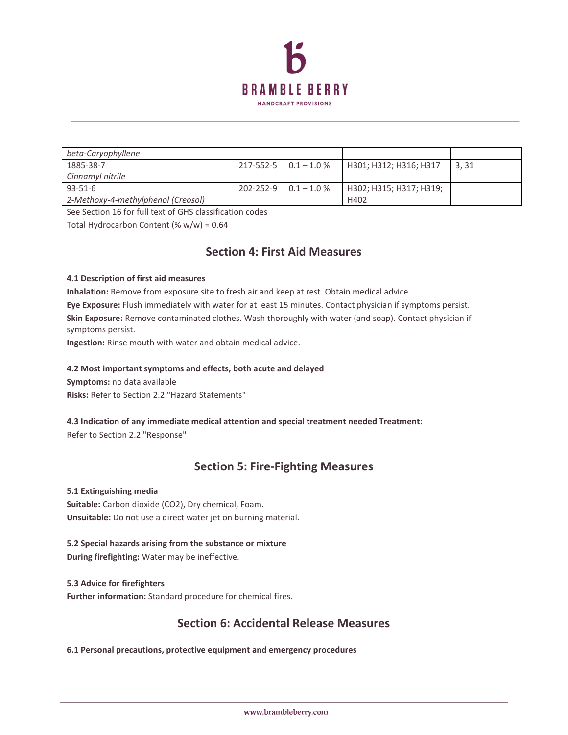

| beta-Caryophyllene                 |           |                             |                         |       |
|------------------------------------|-----------|-----------------------------|-------------------------|-------|
| 1885-38-7                          |           | $217 - 552 - 5$ 0.1 - 1.0 % | H301; H312; H316; H317  | 3, 31 |
| Cinnamyl nitrile                   |           |                             |                         |       |
| $93 - 51 - 6$                      | 202-252-9 | $0.1 - 1.0 %$               | H302; H315; H317; H319; |       |
| 2-Methoxy-4-methylphenol (Creosol) |           |                             | H402                    |       |

See Section 16 for full text of GHS classification codes

Total Hydrocarbon Content (% w/w) = 0.64

# **Section 4: First Aid Measures**

### **4.1 Description of first aid measures**

**Inhalation:** Remove from exposure site to fresh air and keep at rest. Obtain medical advice.

**Eye Exposure:** Flush immediately with water for at least 15 minutes. Contact physician if symptoms persist. **Skin Exposure:** Remove contaminated clothes. Wash thoroughly with water (and soap). Contact physician if symptoms persist.

**Ingestion:** Rinse mouth with water and obtain medical advice.

### **4.2 Most important symptoms and effects, both acute and delayed**

**Symptoms:** no data available

**Risks:** Refer to Section 2.2 "Hazard Statements"

**4.3 Indication of any immediate medical attention and special treatment needed Treatment:** Refer to Section 2.2 "Response"

# **Section 5: Fire-Fighting Measures**

### **5.1 Extinguishing media**

**Suitable:** Carbon dioxide (CO2), Dry chemical, Foam. **Unsuitable:** Do not use a direct water jet on burning material.

# **5.2 Special hazards arising from the substance or mixture**

**During firefighting:** Water may be ineffective.

**5.3 Advice for firefighters Further information:** Standard procedure for chemical fires.

# **Section 6: Accidental Release Measures**

**6.1 Personal precautions, protective equipment and emergency procedures**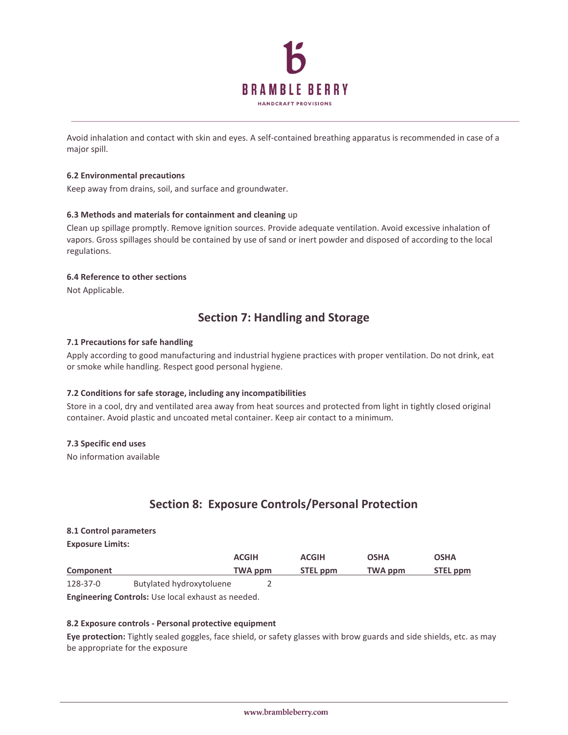

Avoid inhalation and contact with skin and eyes. A self-contained breathing apparatus is recommended in case of a major spill.

#### **6.2 Environmental precautions**

Keep away from drains, soil, and surface and groundwater.

### **6.3 Methods and materials for containment and cleaning** up

Clean up spillage promptly. Remove ignition sources. Provide adequate ventilation. Avoid excessive inhalation of vapors. Gross spillages should be contained by use of sand or inert powder and disposed of according to the local regulations.

#### **6.4 Reference to other sections**

Not Applicable.

# **Section 7: Handling and Storage**

### **7.1 Precautions for safe handling**

Apply according to good manufacturing and industrial hygiene practices with proper ventilation. Do not drink, eat or smoke while handling. Respect good personal hygiene.

### **7.2 Conditions for safe storage, including any incompatibilities**

Store in a cool, dry and ventilated area away from heat sources and protected from light in tightly closed original container. Avoid plastic and uncoated metal container. Keep air contact to a minimum.

#### **7.3 Specific end uses**

No information available

# **Section 8: Exposure Controls/Personal Protection**

#### **8.1 Control parameters**

**Exposure Limits:** 

|           |                          | <b>ACGIH</b> | <b>ACGIH</b>    | OSHA    | OSHA     |
|-----------|--------------------------|--------------|-----------------|---------|----------|
| Component |                          | TWA ppm      | <b>STEL ppm</b> | TWA ppm | STEL ppm |
| 128-37-0  | Butylated hydroxytoluene |              |                 |         |          |

**Engineering Controls:** Use local exhaust as needed.

### **8.2 Exposure controls - Personal protective equipment**

**Eye protection:** Tightly sealed goggles, face shield, or safety glasses with brow guards and side shields, etc. as may be appropriate for the exposure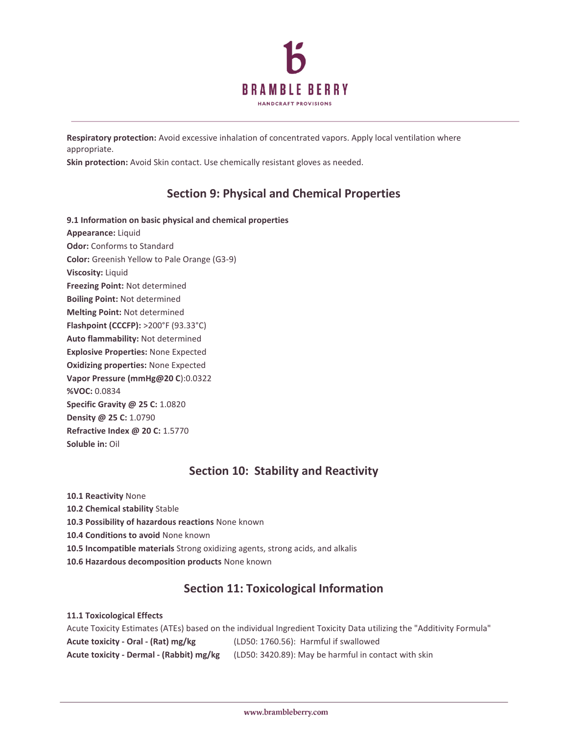

**Respiratory protection:** Avoid excessive inhalation of concentrated vapors. Apply local ventilation where appropriate.

**Skin protection:** Avoid Skin contact. Use chemically resistant gloves as needed.

# **Section 9: Physical and Chemical Properties**

**9.1 Information on basic physical and chemical properties Appearance:** Liquid **Odor:** Conforms to Standard **Color:** Greenish Yellow to Pale Orange (G3-9) **Viscosity:** Liquid **Freezing Point:** Not determined **Boiling Point:** Not determined **Melting Point:** Not determined **Flashpoint (CCCFP):** >200°F (93.33°C) **Auto flammability:** Not determined **Explosive Properties:** None Expected **Oxidizing properties:** None Expected **Vapor Pressure (mmHg@20 C**):0.0322 **%VOC:** 0.0834 **Specific Gravity @ 25 C:** 1.0820 **Density @ 25 C:** 1.0790 **Refractive Index @ 20 C:** 1.5770 **Soluble in:** Oil

# **Section 10: Stability and Reactivity**

**10.1 Reactivity** None **10.2 Chemical stability** Stable **10.3 Possibility of hazardous reactions** None known **10.4 Conditions to avoid** None known **10.5 Incompatible materials** Strong oxidizing agents, strong acids, and alkalis **10.6 Hazardous decomposition products** None known

# **Section 11: Toxicological Information**

**11.1 Toxicological Effects**  Acute Toxicity Estimates (ATEs) based on the individual Ingredient Toxicity Data utilizing the "Additivity Formula" **Acute toxicity - Oral - (Rat) mg/kg** (LD50: 1760.56): Harmful if swallowed **Acute toxicity - Dermal - (Rabbit) mg/kg** (LD50: 3420.89): May be harmful in contact with skin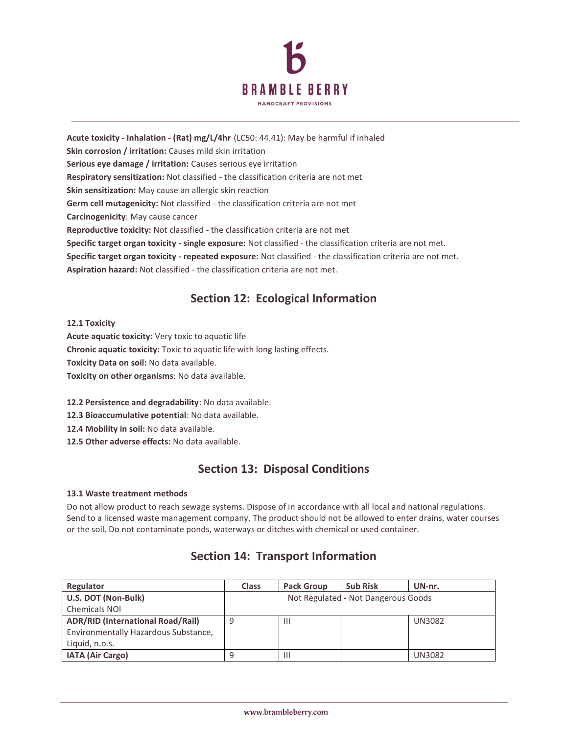

**Acute toxicity - Inhalation - (Rat) mg/L/4hr** (LC50: 44.41): May be harmful if inhaled **Skin corrosion / irritation:** Causes mild skin irritation **Serious eye damage / irritation:** Causes serious eye irritation **Respiratory sensitization:** Not classified - the classification criteria are not met **Skin sensitization:** May cause an allergic skin reaction **Germ cell mutagenicity:** Not classified - the classification criteria are not met **Carcinogenicity**: May cause cancer **Reproductive toxicity:** Not classified - the classification criteria are not met **Specific target organ toxicity - single exposure:** Not classified - the classification criteria are not met. **Specific target organ toxicity - repeated exposure:** Not classified - the classification criteria are not met. **Aspiration hazard:** Not classified - the classification criteria are not met.

# **Section 12: Ecological Information**

**12.1 Toxicity** 

**Acute aquatic toxicity:** Very toxic to aquatic life **Chronic aquatic toxicity:** Toxic to aquatic life with long lasting effects. **Toxicity Data on soil:** No data available. **Toxicity on other organisms**: No data available.

**12.2 Persistence and degradability**: No data available.

**12.3 Bioaccumulative potential**: No data available.

**12.4 Mobility in soil:** No data available.

**12.5 Other adverse effects:** No data available.

# **Section 13: Disposal Conditions**

### **13.1 Waste treatment methods**

Do not allow product to reach sewage systems. Dispose of in accordance with all local and national regulations. Send to a licensed waste management company. The product should not be allowed to enter drains, water courses or the soil. Do not contaminate ponds, waterways or ditches with chemical or used container.

# **Section 14: Transport Information**

| Regulator                                | <b>Class</b>                        | <b>Pack Group</b> | <b>Sub Risk</b> | UN-nr.        |
|------------------------------------------|-------------------------------------|-------------------|-----------------|---------------|
| U.S. DOT (Non-Bulk)                      | Not Regulated - Not Dangerous Goods |                   |                 |               |
| <b>Chemicals NOI</b>                     |                                     |                   |                 |               |
| <b>ADR/RID (International Road/Rail)</b> |                                     | -III              |                 | <b>UN3082</b> |
| Environmentally Hazardous Substance,     |                                     |                   |                 |               |
| Liquid, n.o.s.                           |                                     |                   |                 |               |
| <b>IATA (Air Cargo)</b>                  |                                     |                   |                 | <b>UN3082</b> |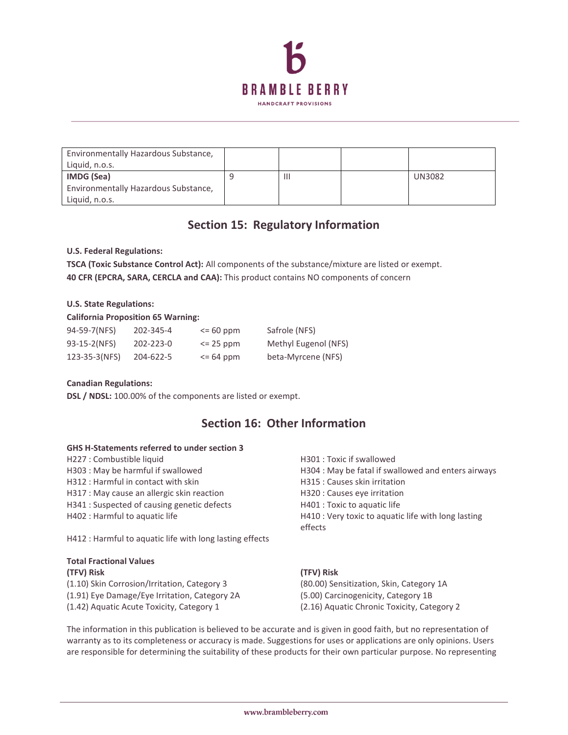

| Environmentally Hazardous Substance,<br>Liquid, n.o.s. |                |               |
|--------------------------------------------------------|----------------|---------------|
| IMDG (Sea)                                             | $\mathsf{III}$ | <b>UN3082</b> |
| Environmentally Hazardous Substance,                   |                |               |
| Liquid, n.o.s.                                         |                |               |

# **Section 15: Regulatory Information**

### **U.S. Federal Regulations:**

**TSCA (Toxic Substance Control Act):** All components of the substance/mixture are listed or exempt. **40 CFR (EPCRA, SARA, CERCLA and CAA):** This product contains NO components of concern

### **U.S. State Regulations:**

### **California Proposition 65 Warning:**

| 94-59-7(NFS)  | 202-345-4 | $\leq$ 60 ppm | Safrole (NFS)        |
|---------------|-----------|---------------|----------------------|
| 93-15-2(NFS)  | 202-223-0 | $\leq$ 25 ppm | Methyl Eugenol (NFS) |
| 123-35-3(NFS) | 204-622-5 | $\leq$ 64 ppm | beta-Myrcene (NFS)   |

### **Canadian Regulations:**

**DSL / NDSL:** 100.00% of the components are listed or exempt.

# **Section 16: Other Information**

### **GHS H-Statements referred to under section 3**

- H227 : Combustible liquid H301 : Toxic if swallowed
- 
- H312 : Harmful in contact with skin H315 : Causes skin irritation
- H317 : May cause an allergic skin reaction H320 : Causes eye irritation
- H341 : Suspected of causing genetic defects H401 : Toxic to aquatic life
- 

H412 : Harmful to aquatic life with long lasting effects

### **Total Fractional Values (TFV) Risk (TFV) Risk**

(1.10) Skin Corrosion/Irritation, Category 3 (80.00) Sensitization, Skin, Category 1A (1.91) Eye Damage/Eye Irritation, Category 2A (5.00) Carcinogenicity, Category 1B (1.42) Aquatic Acute Toxicity, Category 1 (2.16) Aquatic Chronic Toxicity, Category 2

H303 : May be harmful if swallowed **H304** : May be fatal if swallowed and enters airways H402 : Harmful to aquatic life H410 : Very toxic to aquatic life with long lasting effects

The information in this publication is believed to be accurate and is given in good faith, but no representation of warranty as to its completeness or accuracy is made. Suggestions for uses or applications are only opinions. Users are responsible for determining the suitability of these products for their own particular purpose. No representing